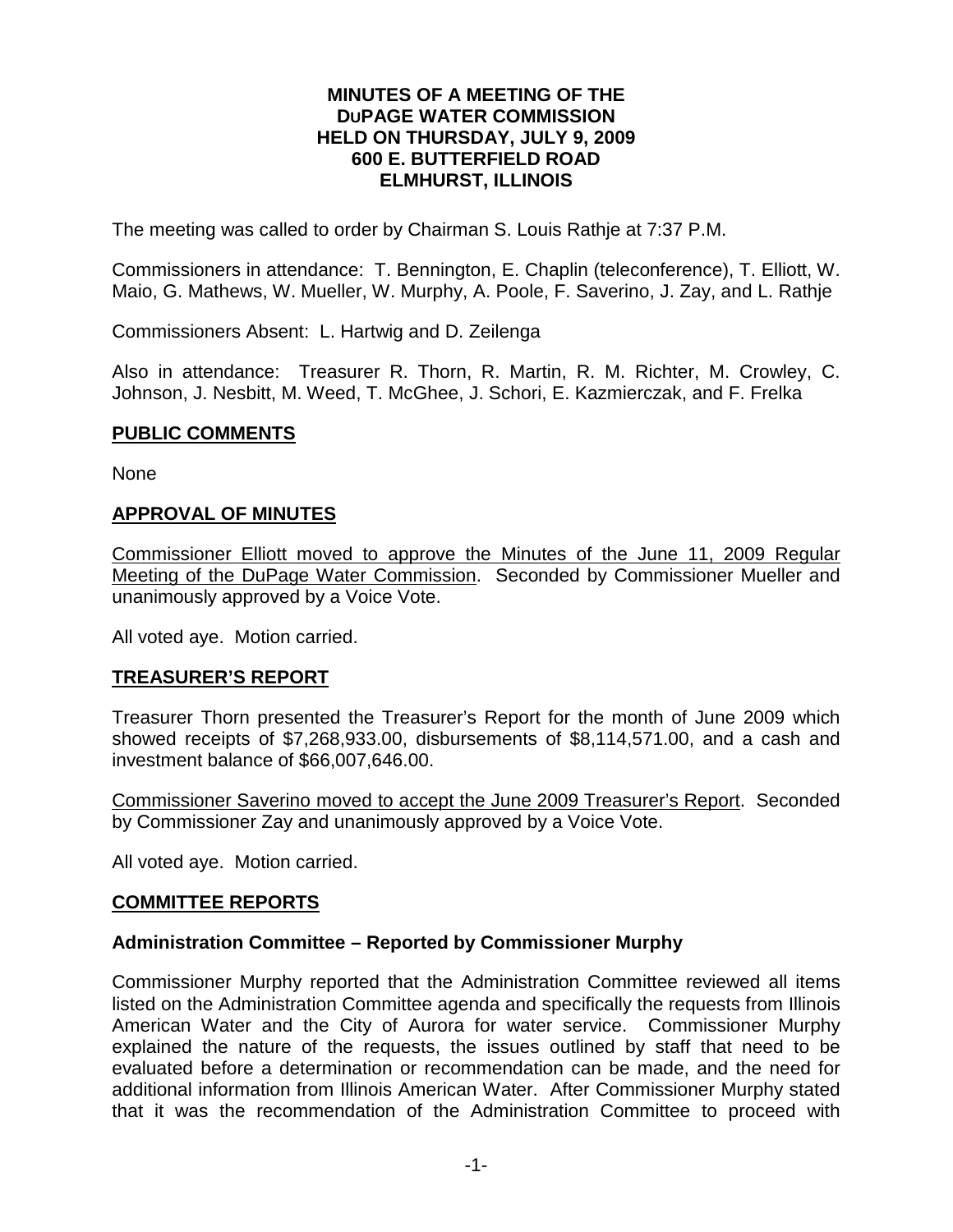#### **MINUTES OF A MEETING OF THE DUPAGE WATER COMMISSION HELD ON THURSDAY, JULY 9, 2009 600 E. BUTTERFIELD ROAD ELMHURST, ILLINOIS**

The meeting was called to order by Chairman S. Louis Rathje at 7:37 P.M.

Commissioners in attendance: T. Bennington, E. Chaplin (teleconference), T. Elliott, W. Maio, G. Mathews, W. Mueller, W. Murphy, A. Poole, F. Saverino, J. Zay, and L. Rathje

Commissioners Absent: L. Hartwig and D. Zeilenga

Also in attendance: Treasurer R. Thorn, R. Martin, R. M. Richter, M. Crowley, C. Johnson, J. Nesbitt, M. Weed, T. McGhee, J. Schori, E. Kazmierczak, and F. Frelka

#### **PUBLIC COMMENTS**

None

#### **APPROVAL OF MINUTES**

Commissioner Elliott moved to approve the Minutes of the June 11, 2009 Regular Meeting of the DuPage Water Commission. Seconded by Commissioner Mueller and unanimously approved by a Voice Vote.

All voted aye. Motion carried.

## **TREASURER'S REPORT**

Treasurer Thorn presented the Treasurer's Report for the month of June 2009 which showed receipts of \$7,268,933.00, disbursements of \$8,114,571.00, and a cash and investment balance of \$66,007,646.00.

Commissioner Saverino moved to accept the June 2009 Treasurer's Report. Seconded by Commissioner Zay and unanimously approved by a Voice Vote.

All voted aye. Motion carried.

#### **COMMITTEE REPORTS**

#### **Administration Committee – Reported by Commissioner Murphy**

Commissioner Murphy reported that the Administration Committee reviewed all items listed on the Administration Committee agenda and specifically the requests from Illinois American Water and the City of Aurora for water service. Commissioner Murphy explained the nature of the requests, the issues outlined by staff that need to be evaluated before a determination or recommendation can be made, and the need for additional information from Illinois American Water. After Commissioner Murphy stated that it was the recommendation of the Administration Committee to proceed with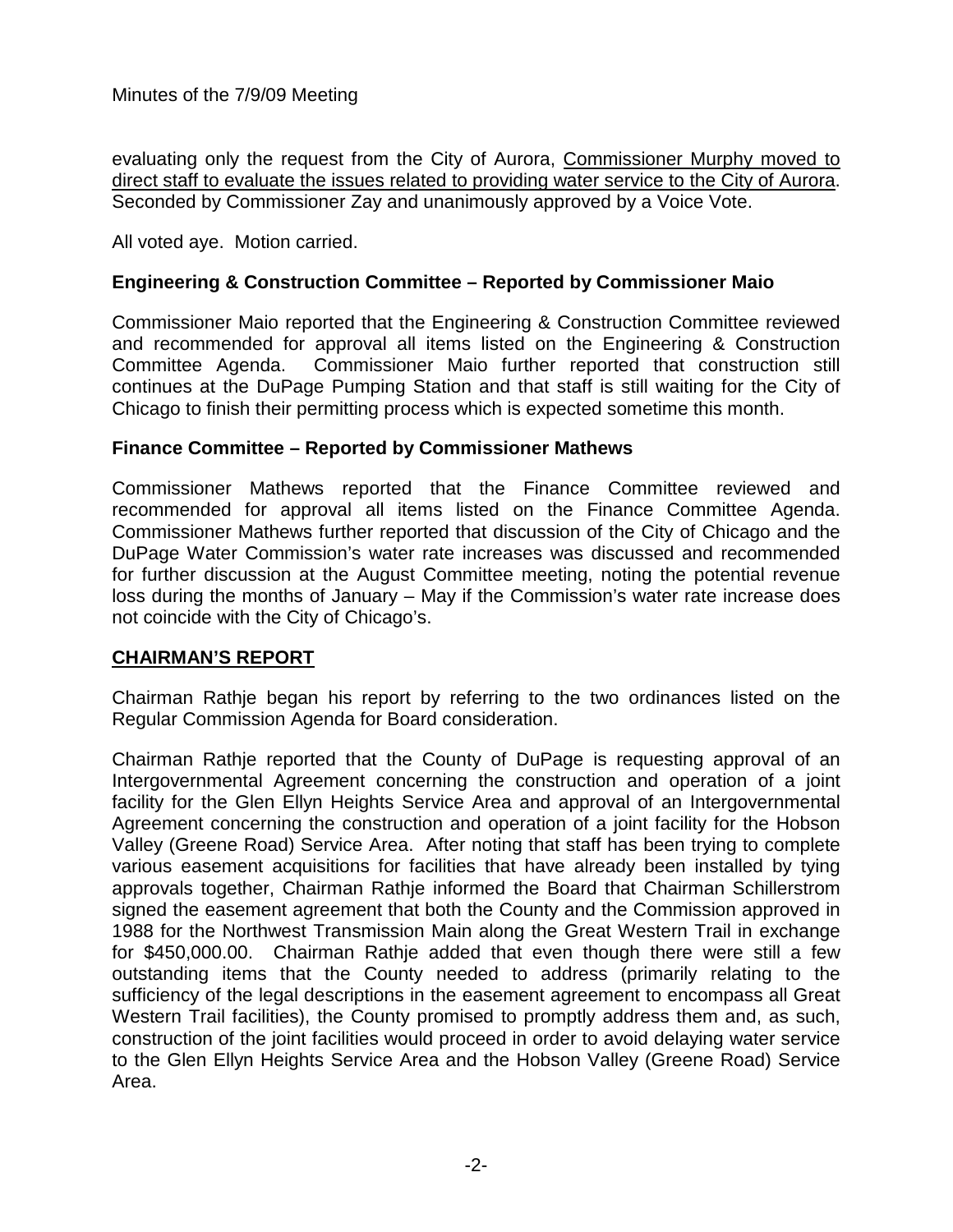Minutes of the 7/9/09 Meeting

evaluating only the request from the City of Aurora, Commissioner Murphy moved to direct staff to evaluate the issues related to providing water service to the City of Aurora. Seconded by Commissioner Zay and unanimously approved by a Voice Vote.

All voted aye. Motion carried.

# **Engineering & Construction Committee – Reported by Commissioner Maio**

Commissioner Maio reported that the Engineering & Construction Committee reviewed and recommended for approval all items listed on the Engineering & Construction Committee Agenda. Commissioner Maio further reported that construction still continues at the DuPage Pumping Station and that staff is still waiting for the City of Chicago to finish their permitting process which is expected sometime this month.

## **Finance Committee – Reported by Commissioner Mathews**

Commissioner Mathews reported that the Finance Committee reviewed and recommended for approval all items listed on the Finance Committee Agenda. Commissioner Mathews further reported that discussion of the City of Chicago and the DuPage Water Commission's water rate increases was discussed and recommended for further discussion at the August Committee meeting, noting the potential revenue loss during the months of January – May if the Commission's water rate increase does not coincide with the City of Chicago's.

## **CHAIRMAN'S REPORT**

Chairman Rathje began his report by referring to the two ordinances listed on the Regular Commission Agenda for Board consideration.

Chairman Rathje reported that the County of DuPage is requesting approval of an Intergovernmental Agreement concerning the construction and operation of a joint facility for the Glen Ellyn Heights Service Area and approval of an Intergovernmental Agreement concerning the construction and operation of a joint facility for the Hobson Valley (Greene Road) Service Area. After noting that staff has been trying to complete various easement acquisitions for facilities that have already been installed by tying approvals together, Chairman Rathje informed the Board that Chairman Schillerstrom signed the easement agreement that both the County and the Commission approved in 1988 for the Northwest Transmission Main along the Great Western Trail in exchange for \$450,000.00. Chairman Rathje added that even though there were still a few outstanding items that the County needed to address (primarily relating to the sufficiency of the legal descriptions in the easement agreement to encompass all Great Western Trail facilities), the County promised to promptly address them and, as such, construction of the joint facilities would proceed in order to avoid delaying water service to the Glen Ellyn Heights Service Area and the Hobson Valley (Greene Road) Service Area.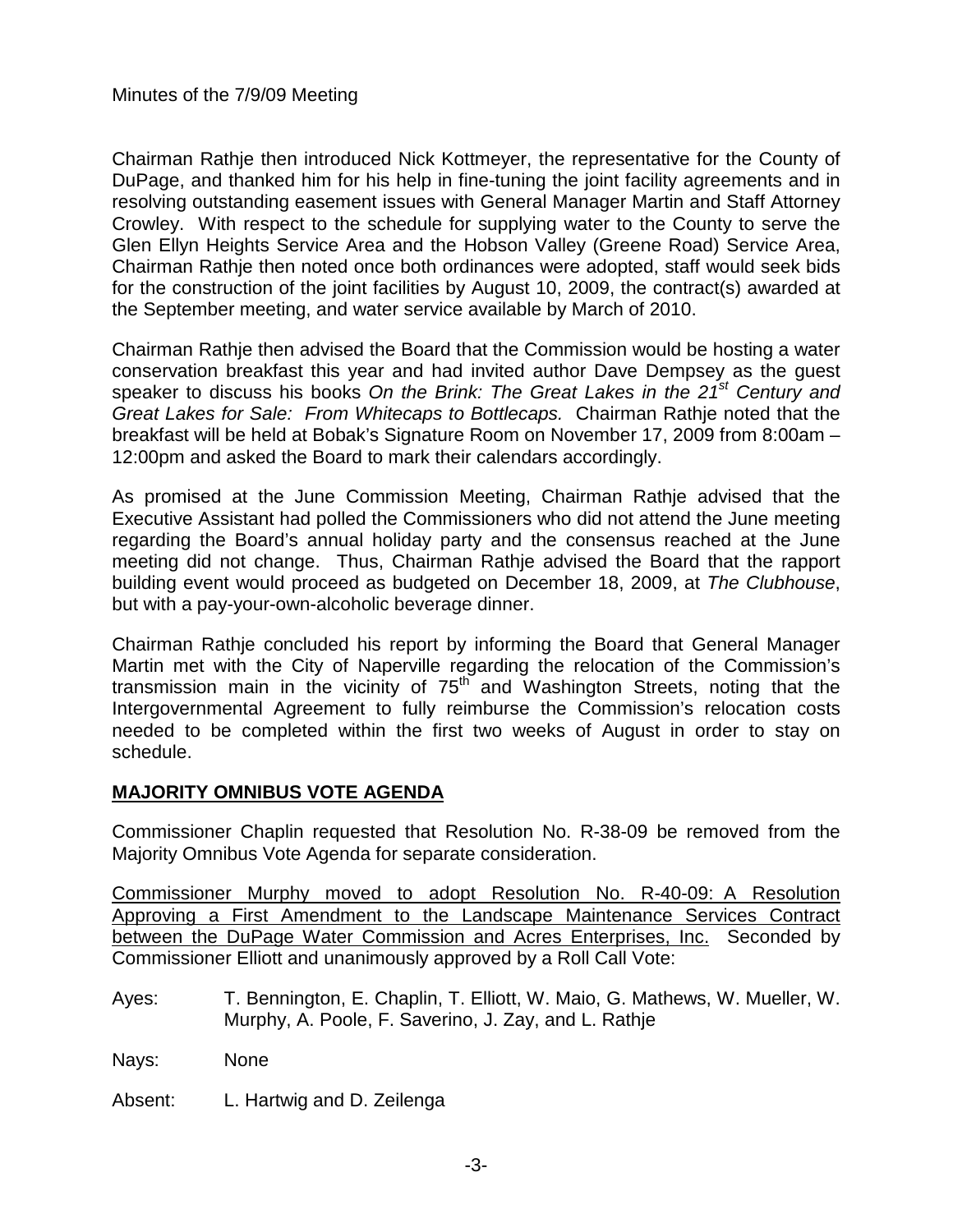Chairman Rathje then introduced Nick Kottmeyer, the representative for the County of DuPage, and thanked him for his help in fine-tuning the joint facility agreements and in resolving outstanding easement issues with General Manager Martin and Staff Attorney Crowley. With respect to the schedule for supplying water to the County to serve the Glen Ellyn Heights Service Area and the Hobson Valley (Greene Road) Service Area, Chairman Rathje then noted once both ordinances were adopted, staff would seek bids for the construction of the joint facilities by August 10, 2009, the contract(s) awarded at the September meeting, and water service available by March of 2010.

Chairman Rathje then advised the Board that the Commission would be hosting a water conservation breakfast this year and had invited author Dave Dempsey as the guest speaker to discuss his books *On the Brink: The Great Lakes in the 21st Century and Great Lakes for Sale: From Whitecaps to Bottlecaps.* Chairman Rathje noted that the breakfast will be held at Bobak's Signature Room on November 17, 2009 from 8:00am – 12:00pm and asked the Board to mark their calendars accordingly.

As promised at the June Commission Meeting, Chairman Rathje advised that the Executive Assistant had polled the Commissioners who did not attend the June meeting regarding the Board's annual holiday party and the consensus reached at the June meeting did not change. Thus, Chairman Rathje advised the Board that the rapport building event would proceed as budgeted on December 18, 2009, at *The Clubhouse*, but with a pay-your-own-alcoholic beverage dinner.

Chairman Rathje concluded his report by informing the Board that General Manager Martin met with the City of Naperville regarding the relocation of the Commission's transmission main in the vicinity of  $75<sup>th</sup>$  and Washington Streets, noting that the Intergovernmental Agreement to fully reimburse the Commission's relocation costs needed to be completed within the first two weeks of August in order to stay on schedule.

## **MAJORITY OMNIBUS VOTE AGENDA**

Commissioner Chaplin requested that Resolution No. R-38-09 be removed from the Majority Omnibus Vote Agenda for separate consideration.

Commissioner Murphy moved to adopt Resolution No. R-40-09: A Resolution Approving a First Amendment to the Landscape Maintenance Services Contract between the DuPage Water Commission and Acres Enterprises, Inc. Seconded by Commissioner Elliott and unanimously approved by a Roll Call Vote:

Ayes: T. Bennington, E. Chaplin, T. Elliott, W. Maio, G. Mathews, W. Mueller, W. Murphy, A. Poole, F. Saverino, J. Zay, and L. Rathje

Nays: None

Absent: L. Hartwig and D. Zeilenga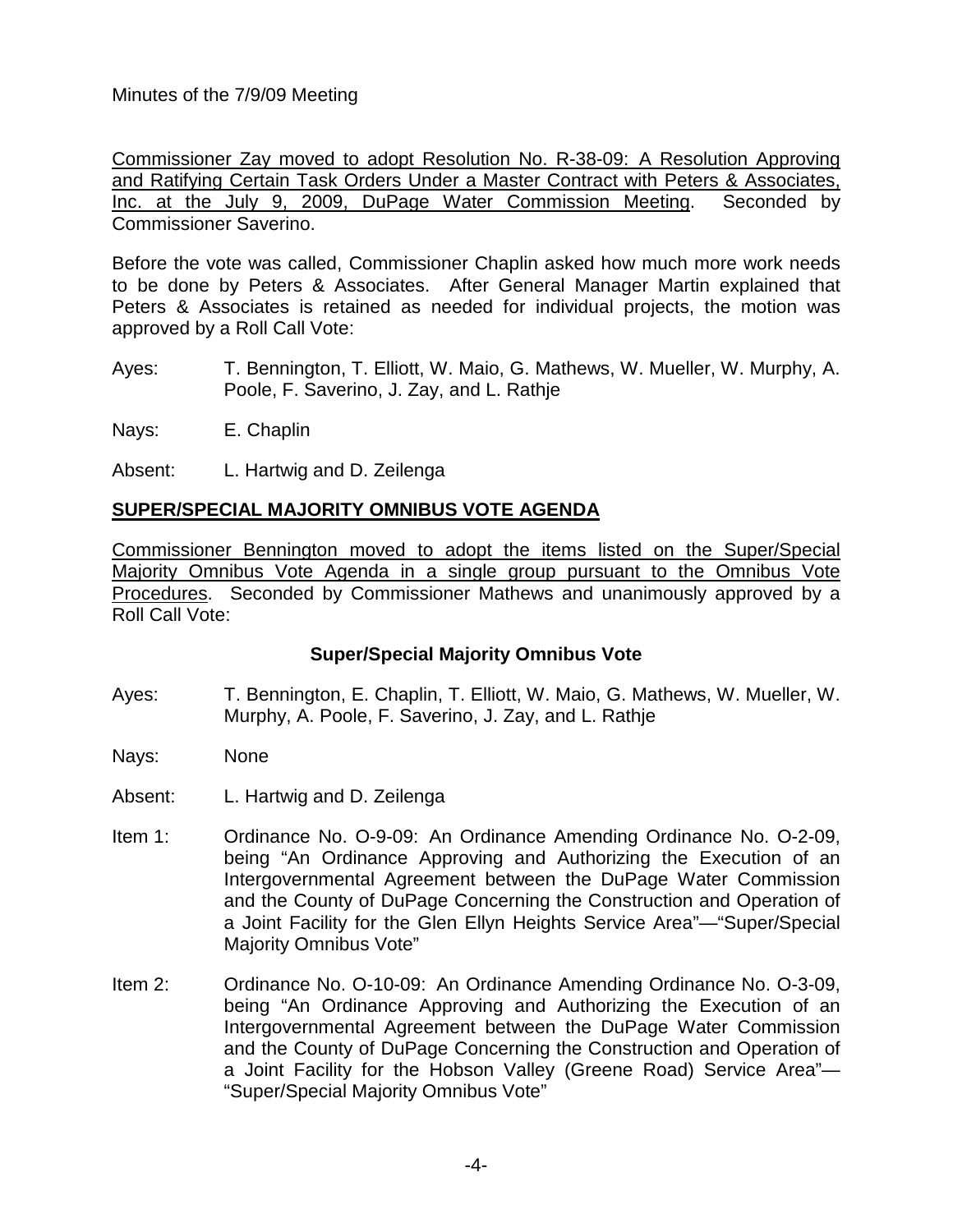Minutes of the 7/9/09 Meeting

Commissioner Zay moved to adopt Resolution No. R-38-09: A Resolution Approving and Ratifying Certain Task Orders Under a Master Contract with Peters & Associates, Inc. at the July 9, 2009, DuPage Water Commission Meeting. Seconded by Commissioner Saverino.

Before the vote was called, Commissioner Chaplin asked how much more work needs to be done by Peters & Associates. After General Manager Martin explained that Peters & Associates is retained as needed for individual projects, the motion was approved by a Roll Call Vote:

- Ayes: T. Bennington, T. Elliott, W. Maio, G. Mathews, W. Mueller, W. Murphy, A. Poole, F. Saverino, J. Zay, and L. Rathje
- Nays: E. Chaplin

Absent: L. Hartwig and D. Zeilenga

# **SUPER/SPECIAL MAJORITY OMNIBUS VOTE AGENDA**

Commissioner Bennington moved to adopt the items listed on the Super/Special Majority Omnibus Vote Agenda in a single group pursuant to the Omnibus Vote Procedures. Seconded by Commissioner Mathews and unanimously approved by a Roll Call Vote:

## **Super/Special Majority Omnibus Vote**

- Ayes: T. Bennington, E. Chaplin, T. Elliott, W. Maio, G. Mathews, W. Mueller, W. Murphy, A. Poole, F. Saverino, J. Zay, and L. Rathje
- Nays: None
- Absent: L. Hartwig and D. Zeilenga
- Item 1: Ordinance No. O-9-09: An Ordinance Amending Ordinance No. O-2-09, being "An Ordinance Approving and Authorizing the Execution of an Intergovernmental Agreement between the DuPage Water Commission and the County of DuPage Concerning the Construction and Operation of a Joint Facility for the Glen Ellyn Heights Service Area"—"Super/Special Majority Omnibus Vote"
- Item 2: Ordinance No. O-10-09: An Ordinance Amending Ordinance No. O-3-09, being "An Ordinance Approving and Authorizing the Execution of an Intergovernmental Agreement between the DuPage Water Commission and the County of DuPage Concerning the Construction and Operation of a Joint Facility for the Hobson Valley (Greene Road) Service Area"— "Super/Special Majority Omnibus Vote"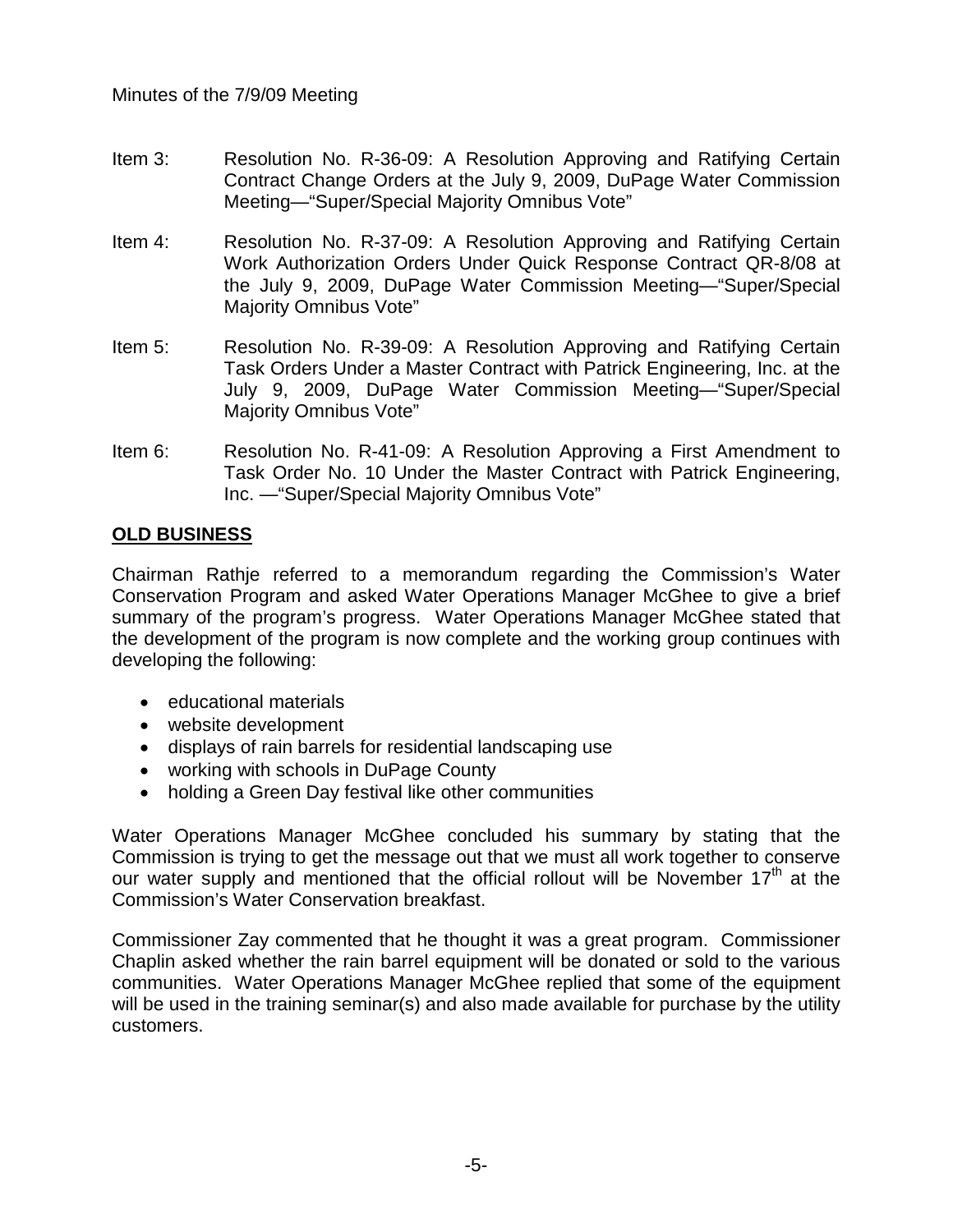- Item 3: Resolution No. R-36-09: A Resolution Approving and Ratifying Certain Contract Change Orders at the July 9, 2009, DuPage Water Commission Meeting—"Super/Special Majority Omnibus Vote"
- Item 4: Resolution No. R-37-09: A Resolution Approving and Ratifying Certain Work Authorization Orders Under Quick Response Contract QR-8/08 at the July 9, 2009, DuPage Water Commission Meeting—"Super/Special Majority Omnibus Vote"
- Item 5: Resolution No. R-39-09: A Resolution Approving and Ratifying Certain Task Orders Under a Master Contract with Patrick Engineering, Inc. at the July 9, 2009, DuPage Water Commission Meeting—"Super/Special Majority Omnibus Vote"
- Item 6: Resolution No. R-41-09: A Resolution Approving a First Amendment to Task Order No. 10 Under the Master Contract with Patrick Engineering, Inc. —"Super/Special Majority Omnibus Vote"

# **OLD BUSINESS**

Chairman Rathje referred to a memorandum regarding the Commission's Water Conservation Program and asked Water Operations Manager McGhee to give a brief summary of the program's progress. Water Operations Manager McGhee stated that the development of the program is now complete and the working group continues with developing the following:

- educational materials
- website development
- displays of rain barrels for residential landscaping use
- working with schools in DuPage County
- holding a Green Day festival like other communities

Water Operations Manager McGhee concluded his summary by stating that the Commission is trying to get the message out that we must all work together to conserve our water supply and mentioned that the official rollout will be November  $17<sup>th</sup>$  at the Commission's Water Conservation breakfast.

Commissioner Zay commented that he thought it was a great program. Commissioner Chaplin asked whether the rain barrel equipment will be donated or sold to the various communities. Water Operations Manager McGhee replied that some of the equipment will be used in the training seminar(s) and also made available for purchase by the utility customers.